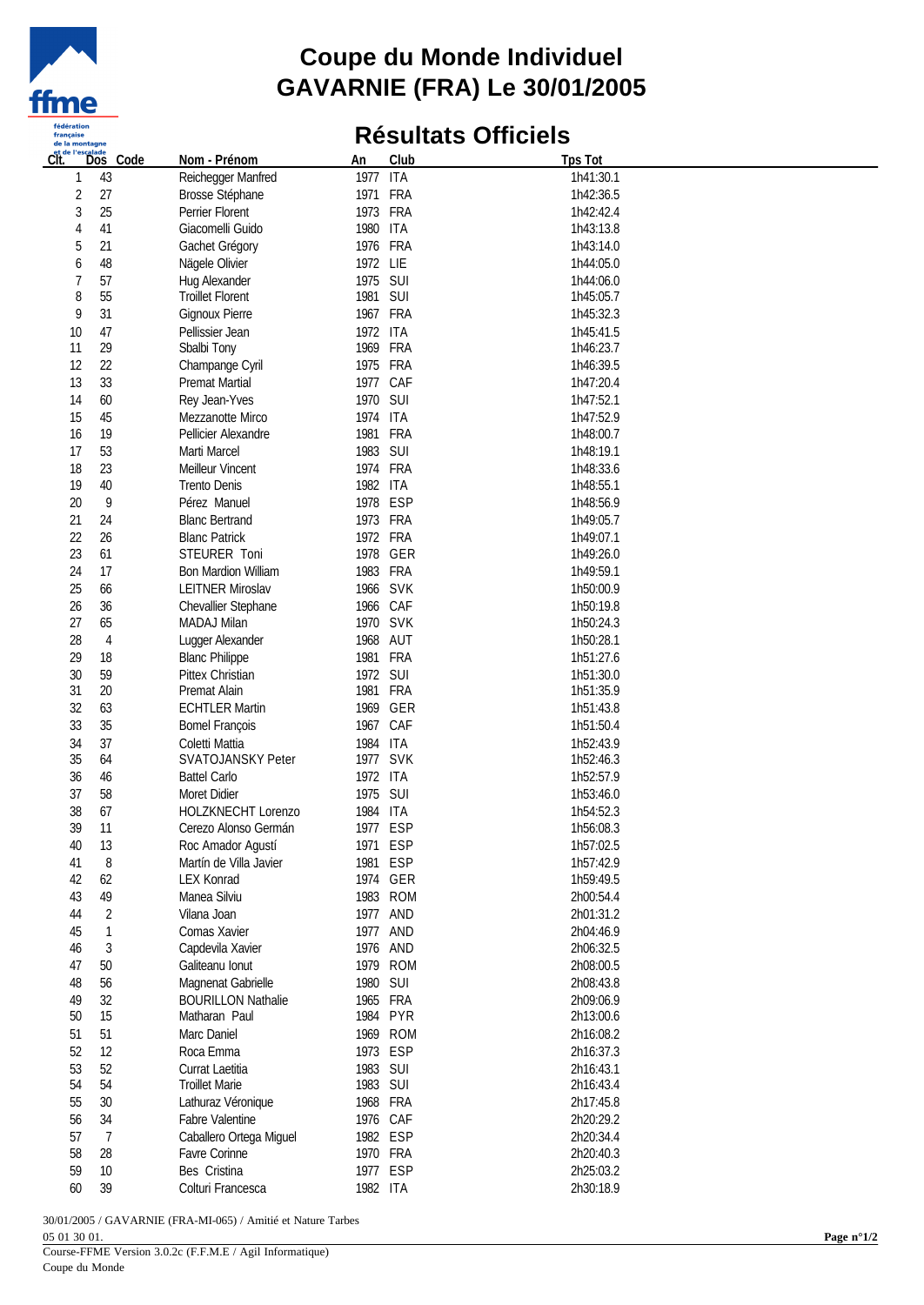

## **Coupe du Monde Individuel GAVARNIE (FRA) Le 30/01/2005**

## **Résultats Officiels**

| CĪť.           | Code<br>Dos | Nom - Prénom                                | An                   | Club     | <b>Tps Tot</b> |  |
|----------------|-------------|---------------------------------------------|----------------------|----------|----------------|--|
| 1              | 43          | Reichegger Manfred                          | 1977 ITA             |          | 1h41:30.1      |  |
| $\overline{2}$ | 27          | Brosse Stéphane                             | 1971 FRA             |          | 1h42:36.5      |  |
| 3              | 25          | Perrier Florent                             | 1973 FRA             |          | 1h42:42.4      |  |
| 4              | 41          | Giacomelli Guido                            | 1980 ITA             |          | 1h43:13.8      |  |
| 5              | 21          | Gachet Grégory                              | 1976 FRA             |          | 1h43:14.0      |  |
| 6              | 48          | Nägele Olivier                              | 1972 LIE             |          | 1h44:05.0      |  |
| 7              | 57          | Hug Alexander                               | 1975 SUI             |          | 1h44:06.0      |  |
| 8              | 55          | <b>Troillet Florent</b>                     | 1981 SUI             |          | 1h45:05.7      |  |
| 9              | 31          | Gignoux Pierre                              | 1967 FRA             |          | 1h45:32.3      |  |
| 10             | 47          | Pellissier Jean                             | 1972 ITA             |          | 1h45:41.5      |  |
| 11             | 29          | Sbalbi Tony                                 | 1969 FRA             |          | 1h46:23.7      |  |
| 12             | 22          | Champange Cyril                             | 1975 FRA             |          | 1h46:39.5      |  |
| 13             | 33          | Premat Martial                              | 1977 CAF             |          | 1h47:20.4      |  |
| 14             | 60          | Rey Jean-Yves                               | 1970 SUI             |          | 1h47:52.1      |  |
| 15             | 45          | Mezzanotte Mirco                            | 1974 ITA             |          | 1h47:52.9      |  |
| 16             | 19          | Pellicier Alexandre                         | 1981 FRA             |          | 1h48:00.7      |  |
| 17             | 53          | Marti Marcel                                | 1983 SUI             |          | 1h48:19.1      |  |
| 18             | 23          | Meilleur Vincent                            | 1974 FRA             |          | 1h48:33.6      |  |
| 19             | 40          | Trento Denis                                | 1982 ITA             |          | 1h48:55.1      |  |
| 20             | 9           | Pérez Manuel                                | 1978 ESP             |          | 1h48:56.9      |  |
| 21             | 24          | <b>Blanc Bertrand</b>                       | 1973 FRA             |          | 1h49:05.7      |  |
| 22             | 26          | <b>Blanc Patrick</b>                        | 1972 FRA             |          | 1h49:07.1      |  |
| 23             | 61          | STEURER Toni                                |                      | 1978 GER | 1h49:26.0      |  |
| 24             | 17          | <b>Bon Mardion William</b>                  | 1983 FRA             |          | 1h49:59.1      |  |
| 25             | 66          | <b>LEITNER Miroslav</b>                     | 1966 SVK             |          | 1h50:00.9      |  |
| 26             | 36          | Chevallier Stephane                         | 1966 CAF             |          | 1h50:19.8      |  |
| 27             | 65          | MADAJ Milan                                 | 1970 SVK             |          | 1h50:24.3      |  |
| 28             | 4           | Lugger Alexander                            | 1968 AUT             |          | 1h50:28.1      |  |
| 29             | 18          | <b>Blanc Philippe</b>                       | 1981 FRA             |          | 1h51:27.6      |  |
| 30             | 59          | Pittex Christian                            | 1972 SUI             |          | 1h51:30.0      |  |
| 31             | 20          | Premat Alain                                | 1981 FRA             |          | 1h51:35.9      |  |
| 32             | 63          | <b>ECHTLER Martin</b>                       |                      | 1969 GER | 1h51:43.8      |  |
| 33             | 35          | <b>Bomel François</b>                       | 1967 CAF             |          | 1h51:50.4      |  |
| 34             | 37          | Coletti Mattia                              | 1984 ITA             |          | 1h52:43.9      |  |
| 35             | 64          | <b>SVATOJANSKY Peter</b>                    | 1977 SVK             |          | 1h52:46.3      |  |
| 36             | 46          | <b>Battel Carlo</b>                         | 1972 ITA             |          | 1h52:57.9      |  |
| 37             | 58          | Moret Didier                                | 1975 SUI             |          | 1h53:46.0      |  |
| 38             | 67          | HOLZKNECHT Lorenzo                          | 1984 ITA             |          | 1h54:52.3      |  |
| 39             | 11          | Cerezo Alonso Germán                        | 1977 ESP             |          | 1h56:08.3      |  |
|                |             |                                             | 1971 ESP             |          | 1h57:02.5      |  |
| 40             | 13<br>8     | Roc Amador Agustí                           |                      | 1981 ESP | 1h57:42.9      |  |
| 41<br>42       | 62          | Martín de Villa Javier<br><b>LEX Konrad</b> |                      | 1974 GER | 1h59:49.5      |  |
| 43             | 49          | Manea Silviu                                |                      | 1983 ROM | 2h00:54.4      |  |
|                |             |                                             | 1977 AND             |          | 2h01:31.2      |  |
| 44<br>45       | 2<br>1      | Vilana Joan<br>Comas Xavier                 | 1977 AND             |          | 2h04:46.9      |  |
| 46             | 3           | Capdevila Xavier                            | 1976 AND             |          | 2h06:32.5      |  |
|                |             |                                             |                      | 1979 ROM | 2h08:00.5      |  |
| 47             | 50          | Galiteanu Ionut                             |                      |          |                |  |
| 48             | 56          | Magnenat Gabrielle                          | 1980 SUI<br>1965 FRA |          | 2h08:43.8      |  |
| 49<br>$50\,$   | 32          | <b>BOURILLON Nathalie</b>                   |                      | 1984 PYR | 2h09:06.9      |  |
|                | 15          | Matharan Paul                               |                      | 1969 ROM | 2h13:00.6      |  |
| 51             | 51          | Marc Daniel                                 |                      |          | 2h16:08.2      |  |
| 52             | 12          | Roca Emma                                   | 1973 ESP             |          | 2h16:37.3      |  |
| 53             | 52          | Currat Laetitia                             | 1983 SUI             |          | 2h16:43.1      |  |
| 54             | 54          | <b>Troillet Marie</b>                       | 1983 SUI             |          | 2h16:43.4      |  |
| 55             | 30          | Lathuraz Véronique                          | 1968 FRA             |          | 2h17:45.8      |  |
| 56             | 34          | Fabre Valentine                             | 1976 CAF             |          | 2h20:29.2      |  |
| 57             | 7           | Caballero Ortega Miguel                     | 1982 ESP             |          | 2h20:34.4      |  |
| 58             | 28          | Favre Corinne                               | 1970 FRA             |          | 2h20:40.3      |  |
| 59             | 10          | Bes Cristina                                | 1977 ESP             |          | 2h25:03.2      |  |
| 60             | 39          | Colturi Francesca                           | 1982 ITA             |          | 2h30:18.9      |  |

30/01/2005 / GAVARNIE (FRA-MI-065) / Amitié et Nature Tarbes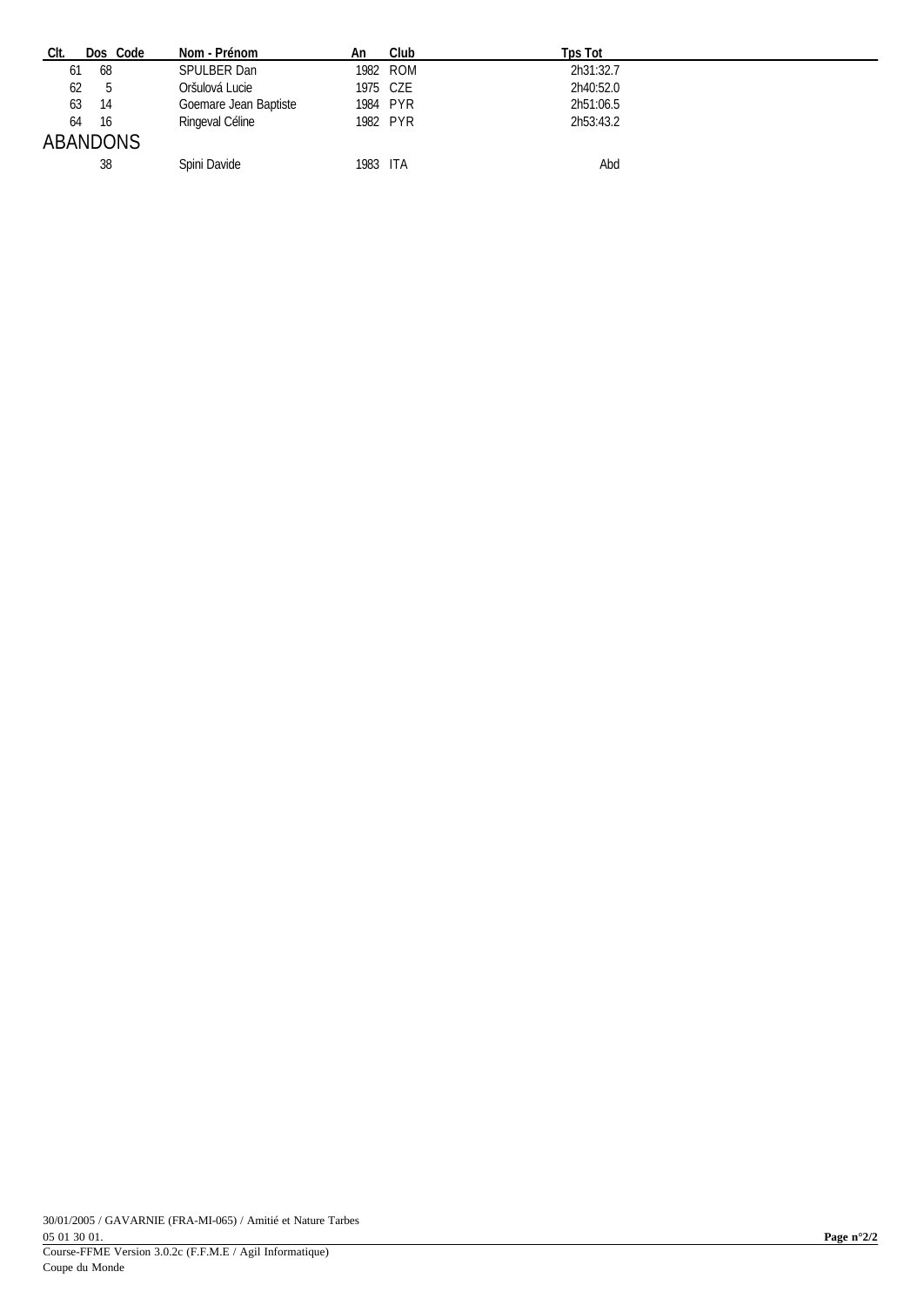| CIt.<br>Dos Code | Nom - Prénom          | An       | Club     | Tps Tot   |
|------------------|-----------------------|----------|----------|-----------|
| 68<br>61         | <b>SPULBER Dan</b>    |          | 1982 ROM | 2h31:32.7 |
| 62<br>5          | Oršulová Lucie        | 1975 CZE |          | 2h40:52.0 |
| 14<br>63         | Goemare Jean Baptiste |          | 1984 PYR | 2h51:06.5 |
| -16<br>64        | Ringeval Céline       |          | 1982 PYR | 2h53:43.2 |
| <b>ABANDONS</b>  |                       |          |          |           |
| 38               | Spini Davide          | 1983 ITA |          | Abd       |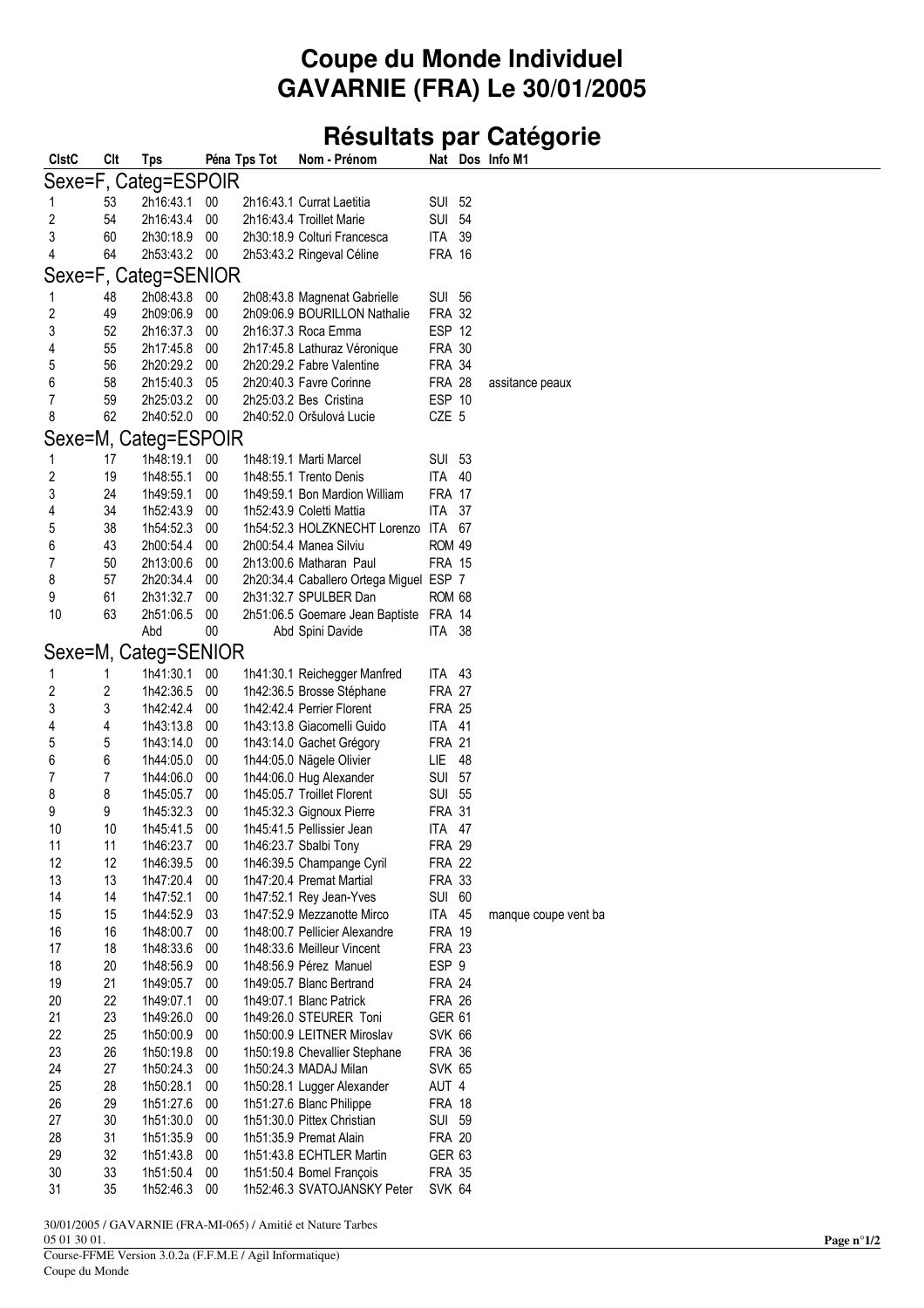## **Coupe du Monde Individuel GAVARNIE (FRA) Le 30/01/2005**

## Résultats par Catégorie

| <b>CIstC</b>            | Clt        | Tps                    |                  | Péna Tps Tot | Nom - Prénom                                              |                                |    | Nat Dos Info M1      |
|-------------------------|------------|------------------------|------------------|--------------|-----------------------------------------------------------|--------------------------------|----|----------------------|
|                         |            | Sexe=F, Categ=ESPOIR   |                  |              |                                                           |                                |    |                      |
| 1                       | 53         | 2h16:43.1              | $00\,$           |              | 2h16:43.1 Currat Laetitia                                 | <b>SUI 52</b>                  |    |                      |
| 2                       | 54         | 2h16:43.4              | $00\,$           |              | 2h16:43.4 Troillet Marie                                  | <b>SUI 54</b>                  |    |                      |
| 3                       | 60         | 2h30:18.9              | 00               |              | 2h30:18.9 Colturi Francesca                               | ITA 39                         |    |                      |
| 4                       | 64         | 2h53:43.2              | 00               |              | 2h53:43.2 Ringeval Céline                                 | <b>FRA 16</b>                  |    |                      |
|                         |            | Sexe=F, Categ=SENIOR   |                  |              |                                                           |                                |    |                      |
| 1                       | 48         | 2h08:43.8              | 00               |              | 2h08:43.8 Magnenat Gabrielle                              | SUI 56                         |    |                      |
| $\overline{\mathbf{c}}$ | 49         | 2h09:06.9              | $00\,$           |              | 2h09:06.9 BOURILLON Nathalie                              | <b>FRA 32</b>                  |    |                      |
| 3                       | 52         | 2h16:37.3              | 00               |              | 2h16:37.3 Roca Emma                                       | ESP 12                         |    |                      |
| $\overline{\mathbf{4}}$ | 55         | 2h17:45.8              | 00               |              | 2h17:45.8 Lathuraz Véronique                              | <b>FRA 30</b>                  |    |                      |
| 5                       | 56         | 2h20:29.2              | $00\,$           |              | 2h20:29.2 Fabre Valentine                                 | <b>FRA 34</b>                  |    |                      |
| 6                       | 58         | 2h15:40.3              | 05               |              | 2h20:40.3 Favre Corinne                                   | <b>FRA 28</b>                  |    | assitance peaux      |
| 7<br>8                  | 59         | 2h25:03.2              | 00               |              | 2h25:03.2 Bes Cristina                                    | ESP 10                         |    |                      |
|                         | 62         | 2h40:52.0              | 00               |              | 2h40:52.0 Oršulová Lucie                                  | CZE 5                          |    |                      |
|                         |            | Sexe=M, Categ=ESPOIR   |                  |              |                                                           |                                |    |                      |
| 1                       | 17         | 1h48:19.1              | $00\,$           |              | 1h48:19.1 Marti Marcel                                    | SUI 53                         |    |                      |
| $\sqrt{2}$              | 19         | 1h48:55.1              | 00               |              | 1h48:55.1 Trento Denis                                    | ITA 40                         |    |                      |
| 3<br>4                  | 24<br>34   | 1h49:59.1<br>1h52:43.9 | 00<br>00         |              | 1h49:59.1 Bon Mardion William<br>1h52:43.9 Coletti Mattia | <b>FRA 17</b><br><b>ITA 37</b> |    |                      |
| 5                       | 38         | 1h54:52.3              | 00               |              | 1h54:52.3 HOLZKNECHT Lorenzo ITA 67                       |                                |    |                      |
| 6                       | 43         | 2h00:54.4              | 00               |              | 2h00:54.4 Manea Silviu                                    | <b>ROM 49</b>                  |    |                      |
| 7                       | 50         | 2h13:00.6              | 00               |              | 2h13:00.6 Matharan Paul                                   | <b>FRA 15</b>                  |    |                      |
| 8                       | 57         | 2h20:34.4              | 00               |              | 2h20:34.4 Caballero Ortega Miguel ESP 7                   |                                |    |                      |
| 9                       | 61         | 2h31:32.7              | 00               |              | 2h31:32.7 SPULBER Dan                                     | <b>ROM 68</b>                  |    |                      |
| 10                      | 63         | 2h51:06.5              | $00\,$           |              | 2h51:06.5 Goemare Jean Baptiste FRA 14                    |                                |    |                      |
|                         |            | Abd                    | $00\,$           |              | Abd Spini Davide                                          | ITA 38                         |    |                      |
|                         |            | Sexe=M, Categ=SENIOR   |                  |              |                                                           |                                |    |                      |
| 1                       | 1          | 1h41:30.1              | 00               |              | 1h41:30.1 Reichegger Manfred                              | ITA 43                         |    |                      |
| $\overline{\mathbf{c}}$ | $\sqrt{2}$ | 1h42:36.5              | 00               |              | 1h42:36.5 Brosse Stéphane                                 | <b>FRA 27</b>                  |    |                      |
| 3                       | 3          | 1h42:42.4              | 00               |              | 1h42:42.4 Perrier Florent                                 | <b>FRA 25</b>                  |    |                      |
| 4                       | 4          | 1h43:13.8              | 00               |              | 1h43:13.8 Giacomelli Guido                                | ITA 41                         |    |                      |
| 5                       | 5          | 1h43:14.0              | $00\,$           |              | 1h43:14.0 Gachet Grégory                                  | <b>FRA 21</b>                  |    |                      |
| 6<br>7                  | 6          | 1h44:05.0              | 00               |              | 1h44:05.0 Nägele Olivier                                  | LIE                            | 48 |                      |
| 8                       | 7<br>8     | 1h44:06.0<br>1h45:05.7 | $00\,$<br>00     |              | 1h44:06.0 Hug Alexander<br>1h45:05.7 Troillet Florent     | <b>SUI 57</b><br><b>SUI 55</b> |    |                      |
| 9                       | 9          | 1h45:32.3              | 00               |              | 1h45:32.3 Gignoux Pierre                                  | <b>FRA 31</b>                  |    |                      |
| 10                      | 10         | 1h45:41.5              | $00\,$           |              | 1h45:41.5 Pellissier Jean                                 | ITA 47                         |    |                      |
| 11                      | 11         | 1h46:23.7              | 00               |              | 1h46:23.7 Sbalbi Tony                                     | <b>FRA 29</b>                  |    |                      |
| 12                      | 12         | 1h46:39.5              | 00               |              | 1h46:39.5 Champange Cyril                                 | <b>FRA 22</b>                  |    |                      |
| 13                      | 13         | 1h47:20.4              | $00\,$           |              | 1h47:20.4 Premat Martial                                  | <b>FRA 33</b>                  |    |                      |
| 14                      | 14         | 1h47:52.1              | $00\,$           |              | 1h47:52.1 Rey Jean-Yves                                   | <b>SUI 60</b>                  |    |                      |
| 15                      | 15         | 1h44:52.9              | 03               |              | 1h47:52.9 Mezzanotte Mirco                                | <b>ITA 45</b>                  |    | manque coupe vent ba |
| 16                      | 16<br>18   | 1h48:00.7              | $00\,$<br>$00\,$ |              | 1h48:00.7 Pellicier Alexandre                             | <b>FRA 19</b>                  |    |                      |
| 17<br>18                | 20         | 1h48:33.6<br>1h48:56.9 | 00               |              | 1h48:33.6 Meilleur Vincent<br>1h48:56.9 Pérez Manuel      | <b>FRA 23</b><br>ESP 9         |    |                      |
| 19                      | 21         | 1h49:05.7              | 00               |              | 1h49:05.7 Blanc Bertrand                                  | <b>FRA 24</b>                  |    |                      |
| 20                      | 22         | 1h49:07.1              | 00               |              | 1h49:07.1 Blanc Patrick                                   | <b>FRA 26</b>                  |    |                      |
| 21                      | 23         | 1h49:26.0              | 00               |              | 1h49:26.0 STEURER Toni                                    | <b>GER 61</b>                  |    |                      |
| 22                      | 25         | 1h50:00.9              | 00               |              | 1h50:00.9 LEITNER Miroslav                                | <b>SVK 66</b>                  |    |                      |
| 23                      | 26         | 1h50:19.8              | $00\,$           |              | 1h50:19.8 Chevallier Stephane                             | <b>FRA 36</b>                  |    |                      |
| 24                      | 27         | 1h50:24.3              | $00\,$           |              | 1h50:24.3 MADAJ Milan                                     | SVK 65                         |    |                      |
| 25                      | 28         | 1h50:28.1              | 00               |              | 1h50:28.1 Lugger Alexander                                | AUT 4                          |    |                      |
| 26                      | 29         | 1h51:27.6              | 00               |              | 1h51:27.6 Blanc Philippe                                  | <b>FRA 18</b>                  |    |                      |
| 27<br>28                | 30<br>31   | 1h51:30.0<br>1h51:35.9 | 00<br>00         |              | 1h51:30.0 Pittex Christian<br>1h51:35.9 Premat Alain      | <b>SUI 59</b><br><b>FRA 20</b> |    |                      |
| 29                      | 32         | 1h51:43.8              | 00               |              | 1h51:43.8 ECHTLER Martin                                  | <b>GER 63</b>                  |    |                      |
| 30                      | 33         | 1h51:50.4              | $00\,$           |              | 1h51:50.4 Bomel François                                  | <b>FRA 35</b>                  |    |                      |
| 31                      | 35         | 1h52:46.3              | 00               |              | 1h52:46.3 SVATOJANSKY Peter                               | <b>SVK 64</b>                  |    |                      |

30/01/2005 / GAVARNIE (FRA-MI-065) / Amitié et Nature Tarbes 05 01 30 01.